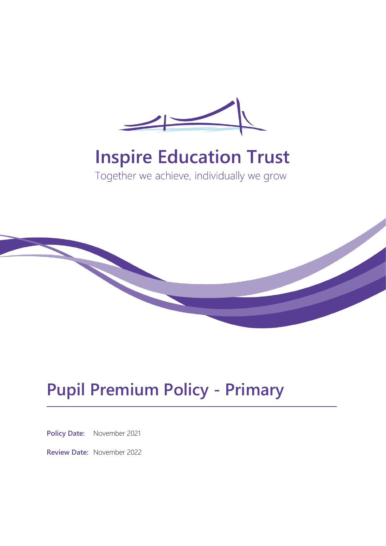

# **Inspire Education Trust**

Together we achieve, individually we grow



# **Pupil Premium Policy - Primary**

**Policy Date:** November 2021

**Review Date:** November 2022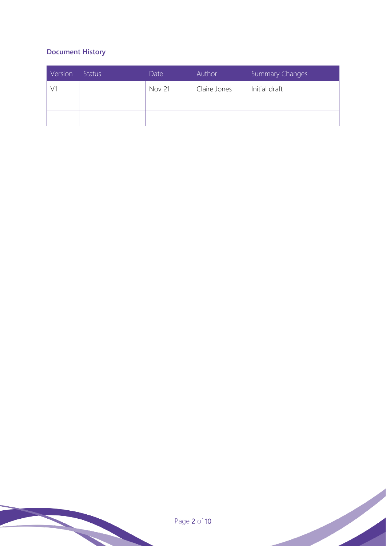# **Document History**

| Version | <b>Status</b> |  | Date          | Author       | <b>Summary Changes</b> |
|---------|---------------|--|---------------|--------------|------------------------|
|         |               |  | <b>Nov 21</b> | Claire Jones | Initial draft          |
|         |               |  |               |              |                        |
|         |               |  |               |              |                        |

Page 2 of 10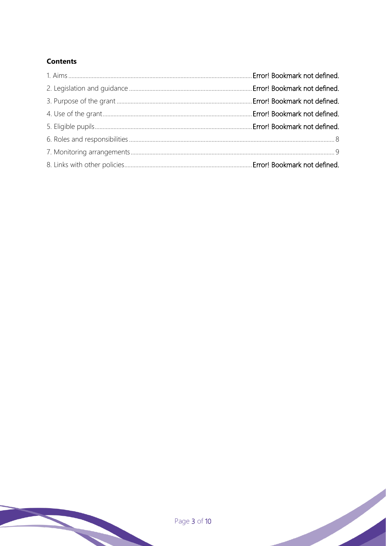# **Contents**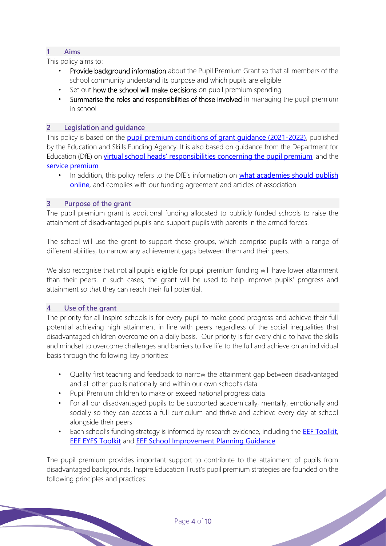# **1 Aims**

This policy aims to:

- Provide background information about the Pupil Premium Grant so that all members of the school community understand its purpose and which pupils are eligible
- Set out how the school will make decisions on pupil premium spending
- Summarise the roles and responsibilities of those involved in managing the pupil premium in school

# **2 Legislation and guidance**

This policy is based on the **[pupil premium conditions of grant guidance \(2021-2022\)](https://www.gov.uk/government/publications/pupil-premium-allocations-and-conditions-of-grant-2021-to-2022/pupil-premium-conditions-of-grant-2021-to-2022-for-local-authorities)**, published by the Education and Skills Funding Agency. It is also based on guidance from the Department for Education (DfE) on [virtual school heads' responsibilities concer](https://www.gov.uk/guidance/pupil-premium-virtual-school-heads-responsibilities)ning the pupil premium, and the [service premium](https://www.gov.uk/guidance/service-premium-information-for-schools).

In addition, this policy refers to the DfE's information on what academies should publish [online](https://www.gov.uk/guidance/what-academies-free-schools-and-colleges-should-publish-online#pupil-premium), and complies with our funding agreement and articles of association.

## **3 Purpose of the grant**

The pupil premium grant is additional funding allocated to publicly funded schools to raise the attainment of disadvantaged pupils and support pupils with parents in the armed forces.

The school will use the grant to support these groups, which comprise pupils with a range of different abilities, to narrow any achievement gaps between them and their peers.

We also recognise that not all pupils eligible for pupil premium funding will have lower attainment than their peers. In such cases, the grant will be used to help improve pupils' progress and attainment so that they can reach their full potential.

### **4 Use of the grant**

The priority for all Inspire schools is for every pupil to make good progress and achieve their full potential achieving high attainment in line with peers regardless of the social inequalities that disadvantaged children overcome on a daily basis. Our priority is for every child to have the skills and mindset to overcome challenges and barriers to live life to the full and achieve on an individual basis through the following key priorities:

- Quality first teaching and feedback to narrow the attainment gap between disadvantaged and all other pupils nationally and within our own school's data
- Pupil Premium children to make or exceed national progress data
- For all our disadvantaged pupils to be supported academically, mentally, emotionally and socially so they can access a full curriculum and thrive and achieve every day at school alongside their peers
- Each school's funding strategy is informed by research evidence, including the **[EEF Toolkit](https://educationendowmentfoundation.org.uk/education-evidence/teaching-learning-toolkit/oral-language-interventions)**, [EEF EYFS Toolkit](https://educationendowmentfoundation.org.uk/education-evidence/early-years-toolkit) and [EEF School Improvement Planning Guidance](https://educationendowmentfoundation.org.uk/support-for-schools/school-improvement-planning)

The pupil premium provides important support to contribute to the attainment of pupils from disadvantaged backgrounds. Inspire Education Trust's pupil premium strategies are founded on the following principles and practices: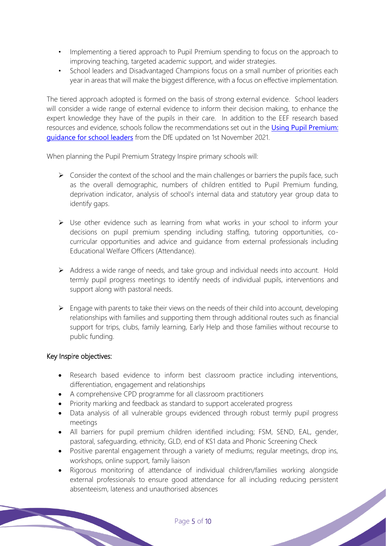- Implementing a tiered approach to Pupil Premium spending to focus on the approach to improving teaching, targeted academic support, and wider strategies.
- School leaders and Disadvantaged Champions focus on a small number of priorities each year in areas that will make the biggest difference, with a focus on effective implementation.

The tiered approach adopted is formed on the basis of strong external evidence. School leaders will consider a wide range of external evidence to inform their decision making, to enhance the expert knowledge they have of the pupils in their care. In addition to the EEF research based resources and evidence, schools follow the recommendations set out in the [Using Pupil Premium:](https://www.gov.uk/guidance/pupil-premium-effective-use-and-accountability)  [guidance for school leaders](https://www.gov.uk/guidance/pupil-premium-effective-use-and-accountability) from the DfE updated on 1st November 2021.

When planning the Pupil Premium Strategy Inspire primary schools will:

- $\triangleright$  Consider the context of the school and the main challenges or barriers the pupils face, such as the overall demographic, numbers of children entitled to Pupil Premium funding, deprivation indicator, analysis of school's internal data and statutory year group data to identify gaps.
- ➢ Use other evidence such as learning from what works in your school to inform your decisions on pupil premium spending including staffing, tutoring opportunities, cocurricular opportunities and advice and guidance from external professionals including Educational Welfare Officers (Attendance).
- ➢ Address a wide range of needs, and take group and individual needs into account. Hold termly pupil progress meetings to identify needs of individual pupils, interventions and support along with pastoral needs.
- $\triangleright$  Engage with parents to take their views on the needs of their child into account, developing relationships with families and supporting them through additional routes such as financial support for trips, clubs, family learning, Early Help and those families without recourse to public funding.

#### Key Inspire objectives:

- Research based evidence to inform best classroom practice including interventions, differentiation, engagement and relationships
- A comprehensive CPD programme for all classroom practitioners
- Priority marking and feedback as standard to support accelerated progress
- Data analysis of all vulnerable groups evidenced through robust termly pupil progress meetings
- All barriers for pupil premium children identified including; FSM, SEND, EAL, gender, pastoral, safeguarding, ethnicity, GLD, end of KS1 data and Phonic Screening Check
- Positive parental engagement through a variety of mediums; regular meetings, drop ins, workshops, online support, family liaison
- Rigorous monitoring of attendance of individual children/families working alongside external professionals to ensure good attendance for all including reducing persistent absenteeism, lateness and unauthorised absences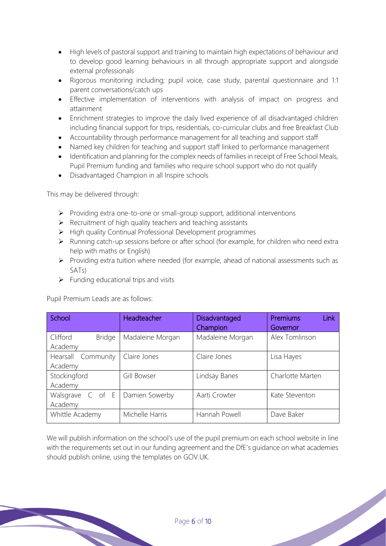- High levels of pastoral support and training to maintain high expectations of behaviour and to develop good learning behaviours in all through appropriate support and alongside external professionals
- Rigorous monitoring including; pupil voice, case study, parental questionnaire and 1:1 parent conversations/catch ups
- Effective implementation of interventions with analysis of impact on progress and attainment
- Enrichment strategies to improve the daily lived experience of all disadvantaged children including financial support for trips, residentials, co-curricular clubs and free Breakfast Club
- Accountability through performance management for all teaching and support staff
- Named key children for teaching and support staff linked to performance management
- Identification and planning for the complex needs of families in receipt of Free School Meals, Pupil Premium funding and families who require school support who do not qualify
- Disadvantaged Champion in all Inspire schools

This may be delivered through:

- ➢ Providing extra one-to-one or small-group support, additional interventions
- $\triangleright$  Recruitment of high quality teachers and teaching assistants
- ➢ High quality Continual Professional Development programmes
- ➢ Running catch-up sessions before or after school (for example, for children who need extra help with maths or English)
- ➢ Providing extra tuition where needed (for example, ahead of national assessments such as SATs)
- $\triangleright$  Funding educational trips and visits

Pupil Premium Leads are as follows:

| School                               | Headteacher      | <b>Disadvantaged</b><br>Champion | Link<br><b>Premiums</b><br>Governor |
|--------------------------------------|------------------|----------------------------------|-------------------------------------|
| Clifford<br><b>Bridge</b><br>Academy | Madaleine Morgan | Madaleine Morgan                 | Alex Tomlinson                      |
| Hearsall Community<br>Academy        | Claire Jones     | Claire Jones                     | Lisa Hayes                          |
| Stockingford<br>Academy              | Gill Bowser      | Lindsay Banes                    | Charlotte Marten                    |
| Walsgrave C of E<br>Academy          | Damien Sowerby   | Aarti Crowter                    | Kate Steventon                      |
| Whittle Academy                      | Michelle Harris  | Hannah Powell                    | Dave Baker                          |

We will publish information on the school's use of the pupil premium on each school website in line with the requirements set out in our funding agreement and the DfE's guidance on what academies should publish online, using the templates on GOV.UK.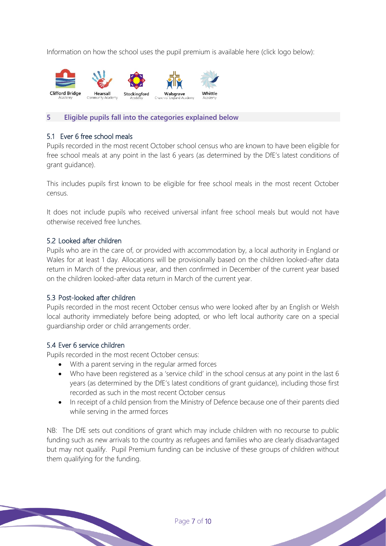Information on how the school uses the pupil premium is available here (click logo below):



#### **5 Eligible pupils fall into the categories explained below**

#### 5.1 Ever 6 free school meals

Pupils recorded in the most recent October school census who are known to have been eligible for free school meals at any point in the last 6 years (as determined by the DfE's latest conditions of grant guidance).

This includes pupils first known to be eligible for free school meals in the most recent October census.

It does not include pupils who received universal infant free school meals but would not have otherwise received free lunches.

#### 5.2 Looked after children

Pupils who are in the care of, or provided with accommodation by, a local authority in England or Wales for at least 1 day. Allocations will be provisionally based on the children looked-after data return in March of the previous year, and then confirmed in December of the current year based on the children looked-after data return in March of the current year.

#### 5.3 Post-looked after children

Pupils recorded in the most recent October census who were looked after by an English or Welsh local authority immediately before being adopted, or who left local authority care on a special guardianship order or child arrangements order.

#### 5.4 Ever 6 service children

Pupils recorded in the most recent October census:

- With a parent serving in the regular armed forces
- Who have been registered as a 'service child' in the school census at any point in the last 6 years (as determined by the DfE's latest conditions of grant guidance), including those first recorded as such in the most recent October census
- In receipt of a child pension from the Ministry of Defence because one of their parents died while serving in the armed forces

NB: The DfE sets out conditions of grant which may include children with no recourse to public funding such as new arrivals to the country as refugees and families who are clearly disadvantaged but may not qualify. Pupil Premium funding can be inclusive of these groups of children without them qualifying for the funding.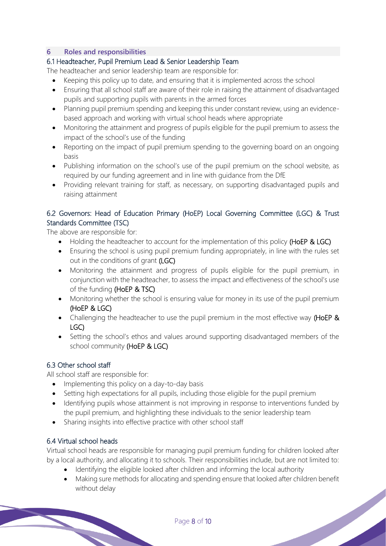## <span id="page-7-0"></span>**6 Roles and responsibilities**

# 6.1 Headteacher, Pupil Premium Lead & Senior Leadership Team

The headteacher and senior leadership team are responsible for:

- Keeping this policy up to date, and ensuring that it is implemented across the school
- Ensuring that all school staff are aware of their role in raising the attainment of disadvantaged pupils and supporting pupils with parents in the armed forces
- Planning pupil premium spending and keeping this under constant review, using an evidencebased approach and working with virtual school heads where appropriate
- Monitoring the attainment and progress of pupils eligible for the pupil premium to assess the impact of the school's use of the funding
- Reporting on the impact of pupil premium spending to the governing board on an ongoing basis
- Publishing information on the school's use of the pupil premium on the school website, as required by our funding agreement and in line with guidance from the DfE
- Providing relevant training for staff, as necessary, on supporting disadvantaged pupils and raising attainment

# 6.2 Governors: Head of Education Primary (HoEP) Local Governing Committee (LGC) & Trust Standards Committee (TSC)

The above are responsible for:

- Holding the headteacher to account for the implementation of this policy (HoEP & LGC)
- Ensuring the school is using pupil premium funding appropriately, in line with the rules set out in the conditions of grant (LGC)
- Monitoring the attainment and progress of pupils eligible for the pupil premium, in conjunction with the headteacher, to assess the impact and effectiveness of the school's use of the funding (HoEP & TSC)
- Monitoring whether the school is ensuring value for money in its use of the pupil premium (HoEP & LGC)
- Challenging the headteacher to use the pupil premium in the most effective way (HoEP & LGC)
- Setting the school's ethos and values around supporting disadvantaged members of the school community (HoEP & LGC)

# 6.3 Other school staff

All school staff are responsible for:

- Implementing this policy on a day-to-day basis
- Setting high expectations for all pupils, including those eligible for the pupil premium
- Identifying pupils whose attainment is not improving in response to interventions funded by the pupil premium, and highlighting these individuals to the senior leadership team
- Sharing insights into effective practice with other school staff

# 6.4 Virtual school heads

Virtual school heads are responsible for managing pupil premium funding for children looked after by a local authority, and allocating it to schools. Their responsibilities include, but are not limited to:

- Identifying the eligible looked after children and informing the local authority
- Making sure methods for allocating and spending ensure that looked after children benefit without delay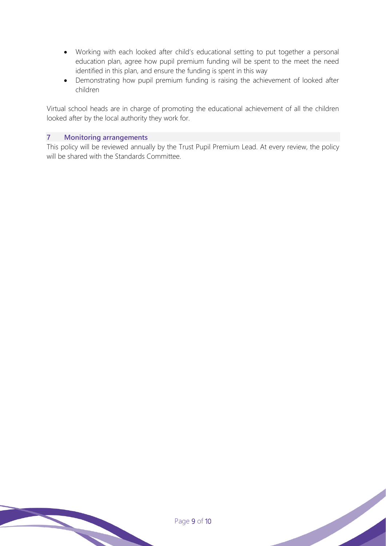- Working with each looked after child's educational setting to put together a personal education plan, agree how pupil premium funding will be spent to the meet the need identified in this plan, and ensure the funding is spent in this way
- Demonstrating how pupil premium funding is raising the achievement of looked after children

Virtual school heads are in charge of promoting the educational achievement of all the children looked after by the local authority they work for.

### <span id="page-8-0"></span>**7 Monitoring arrangements**

This policy will be reviewed annually by the Trust Pupil Premium Lead. At every review, the policy will be shared with the Standards Committee.